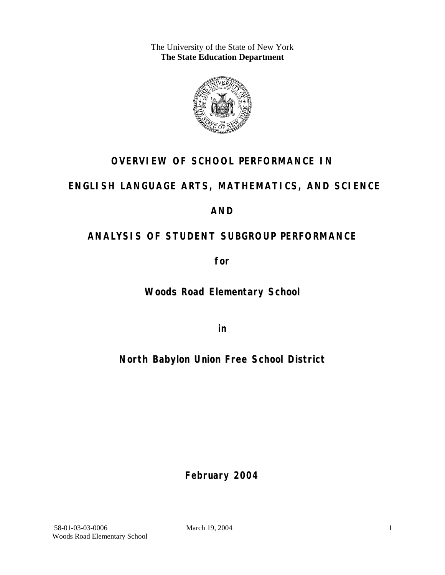The University of the State of New York **The State Education Department** 



## **OVERVIEW OF SCHOOL PERFORMANCE IN**

## **ENGLISH LANGUAGE ARTS, MATHEMATICS, AND SCIENCE**

### **AND**

## **ANALYSIS OF STUDENT SUBGROUP PERFORMANCE**

**for** 

**Woods Road Elementary School**

**in** 

## **North Babylon Union Free School District**

**February 2004**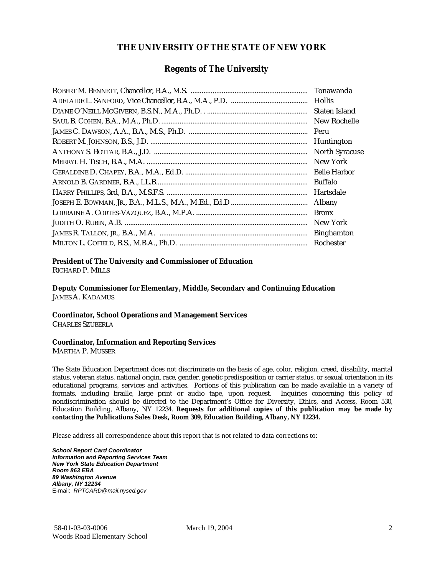#### **THE UNIVERSITY OF THE STATE OF NEW YORK**

#### **Regents of The University**

| Tonawanda             |
|-----------------------|
| <b>Hollis</b>         |
| Staten Island         |
| New Rochelle          |
| Peru                  |
| Huntington            |
| <b>North Syracuse</b> |
| New York              |
| <b>Belle Harbor</b>   |
| Buffalo               |
| Hartsdale             |
| Albany                |
| <b>Bronx</b>          |
| New York              |
| <b>Binghamton</b>     |
| Rochester             |

#### **President of The University and Commissioner of Education**

RICHARD P. MILLS

**Deputy Commissioner for Elementary, Middle, Secondary and Continuing Education**  JAMES A. KADAMUS

#### **Coordinator, School Operations and Management Services**

CHARLES SZUBERLA

#### **Coordinator, Information and Reporting Services**

MARTHA P. MUSSER

The State Education Department does not discriminate on the basis of age, color, religion, creed, disability, marital status, veteran status, national origin, race, gender, genetic predisposition or carrier status, or sexual orientation in its educational programs, services and activities. Portions of this publication can be made available in a variety of formats, including braille, large print or audio tape, upon request. Inquiries concerning this policy of nondiscrimination should be directed to the Department's Office for Diversity, Ethics, and Access, Room 530, Education Building, Albany, NY 12234. **Requests for additional copies of this publication may be made by contacting the Publications Sales Desk, Room 309, Education Building, Albany, NY 12234.** 

Please address all correspondence about this report that is not related to data corrections to:

*School Report Card Coordinator Information and Reporting Services Team New York State Education Department Room 863 EBA 89 Washington Avenue Albany, NY 12234*  E-mail: *RPTCARD@mail.nysed.gov*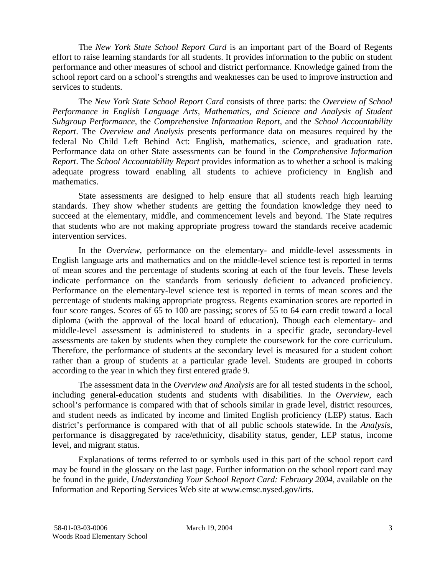The *New York State School Report Card* is an important part of the Board of Regents effort to raise learning standards for all students. It provides information to the public on student performance and other measures of school and district performance. Knowledge gained from the school report card on a school's strengths and weaknesses can be used to improve instruction and services to students.

The *New York State School Report Card* consists of three parts: the *Overview of School Performance in English Language Arts, Mathematics, and Science and Analysis of Student Subgroup Performance,* the *Comprehensive Information Report,* and the *School Accountability Report*. The *Overview and Analysis* presents performance data on measures required by the federal No Child Left Behind Act: English, mathematics, science, and graduation rate. Performance data on other State assessments can be found in the *Comprehensive Information Report*. The *School Accountability Report* provides information as to whether a school is making adequate progress toward enabling all students to achieve proficiency in English and mathematics.

State assessments are designed to help ensure that all students reach high learning standards. They show whether students are getting the foundation knowledge they need to succeed at the elementary, middle, and commencement levels and beyond. The State requires that students who are not making appropriate progress toward the standards receive academic intervention services.

In the *Overview*, performance on the elementary- and middle-level assessments in English language arts and mathematics and on the middle-level science test is reported in terms of mean scores and the percentage of students scoring at each of the four levels. These levels indicate performance on the standards from seriously deficient to advanced proficiency. Performance on the elementary-level science test is reported in terms of mean scores and the percentage of students making appropriate progress. Regents examination scores are reported in four score ranges. Scores of 65 to 100 are passing; scores of 55 to 64 earn credit toward a local diploma (with the approval of the local board of education). Though each elementary- and middle-level assessment is administered to students in a specific grade, secondary-level assessments are taken by students when they complete the coursework for the core curriculum. Therefore, the performance of students at the secondary level is measured for a student cohort rather than a group of students at a particular grade level. Students are grouped in cohorts according to the year in which they first entered grade 9.

The assessment data in the *Overview and Analysis* are for all tested students in the school, including general-education students and students with disabilities. In the *Overview*, each school's performance is compared with that of schools similar in grade level, district resources, and student needs as indicated by income and limited English proficiency (LEP) status. Each district's performance is compared with that of all public schools statewide. In the *Analysis*, performance is disaggregated by race/ethnicity, disability status, gender, LEP status, income level, and migrant status.

Explanations of terms referred to or symbols used in this part of the school report card may be found in the glossary on the last page. Further information on the school report card may be found in the guide, *Understanding Your School Report Card: February 2004*, available on the Information and Reporting Services Web site at www.emsc.nysed.gov/irts.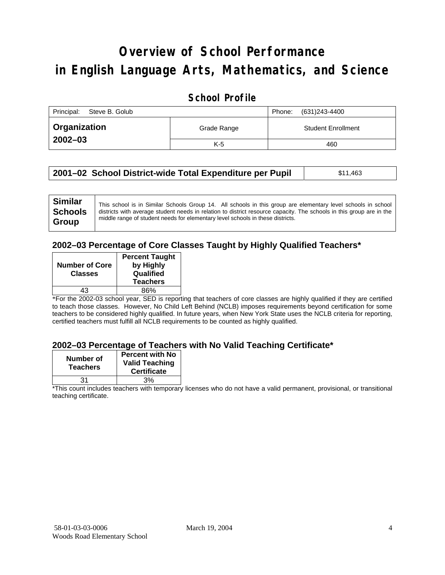# **Overview of School Performance in English Language Arts, Mathematics, and Science**

### **School Profile**

| Principal:<br>Steve B. Golub |             | (631)243-4400<br>Phone:   |
|------------------------------|-------------|---------------------------|
| Organization                 | Grade Range | <b>Student Enrollment</b> |
| $2002 - 03$                  | $K-5$       | 460                       |

| 2001–02 School District-wide Total Expenditure per Pupil | \$11,463 |
|----------------------------------------------------------|----------|
|----------------------------------------------------------|----------|

#### **2002–03 Percentage of Core Classes Taught by Highly Qualified Teachers\***

| <b>Number of Core</b> | <b>Percent Taught</b><br>by Highly |
|-----------------------|------------------------------------|
| <b>Classes</b>        | Qualified                          |
|                       | <b>Teachers</b>                    |
| 43                    | 86%                                |
|                       |                                    |

\*For the 2002-03 school year, SED is reporting that teachers of core classes are highly qualified if they are certified to teach those classes. However, No Child Left Behind (NCLB) imposes requirements beyond certification for some teachers to be considered highly qualified. In future years, when New York State uses the NCLB criteria for reporting, certified teachers must fulfill all NCLB requirements to be counted as highly qualified.

#### **2002–03 Percentage of Teachers with No Valid Teaching Certificate\***

| Number of<br><b>Teachers</b> | <b>Percent with No</b><br><b>Valid Teaching</b><br><b>Certificate</b> |
|------------------------------|-----------------------------------------------------------------------|
| 31                           | 3%                                                                    |

\*This count includes teachers with temporary licenses who do not have a valid permanent, provisional, or transitional teaching certificate.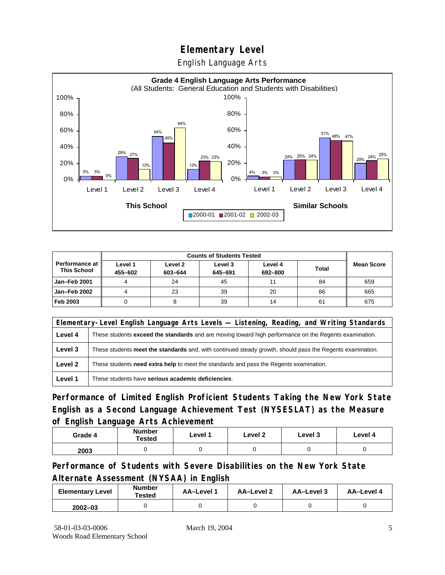English Language Arts



|                                               |                    | <b>Counts of Students Tested</b> |                    |                    |              |                   |
|-----------------------------------------------|--------------------|----------------------------------|--------------------|--------------------|--------------|-------------------|
| <b>Performance at I</b><br><b>This School</b> | Level 1<br>455-602 | Level 2<br>603-644               | Level 3<br>645-691 | Level 4<br>692-800 | <b>Total</b> | <b>Mean Score</b> |
| Jan-Feb 2001                                  |                    | 24                               | 45                 | 11                 | 84           | 659               |
| Jan-Feb 2002                                  |                    | 23                               | 39                 | 20                 | 86           | 665               |
| Feb 2003                                      |                    |                                  | 39                 | 14                 | 61           | 675               |

|         | Elementary-Level English Language Arts Levels — Listening, Reading, and Writing Standards                 |  |  |  |  |
|---------|-----------------------------------------------------------------------------------------------------------|--|--|--|--|
| Level 4 | These students exceed the standards and are moving toward high performance on the Regents examination.    |  |  |  |  |
| Level 3 | These students meet the standards and, with continued steady growth, should pass the Regents examination. |  |  |  |  |
| Level 2 | These students <b>need extra help</b> to meet the standards and pass the Regents examination.             |  |  |  |  |
| Level 1 | These students have serious academic deficiencies.                                                        |  |  |  |  |

**Performance of Limited English Proficient Students Taking the New York State English as a Second Language Achievement Test (NYSESLAT) as the Measure of English Language Arts Achievement**

| Grade 4 | <b>Number</b><br><b>Tested</b> | Level 1 | Level 2 | Level 3 | Level 4 |
|---------|--------------------------------|---------|---------|---------|---------|
| 2003    |                                |         |         |         |         |

**Performance of Students with Severe Disabilities on the New York State Alternate Assessment (NYSAA) in English** 

| <b>Elementary Level</b> | <b>Number</b><br>Tested | AA-Level | AA-Level 2 | AA-Level 3 | AA-Level 4 |
|-------------------------|-------------------------|----------|------------|------------|------------|
| $2002 - 03$             |                         |          |            |            |            |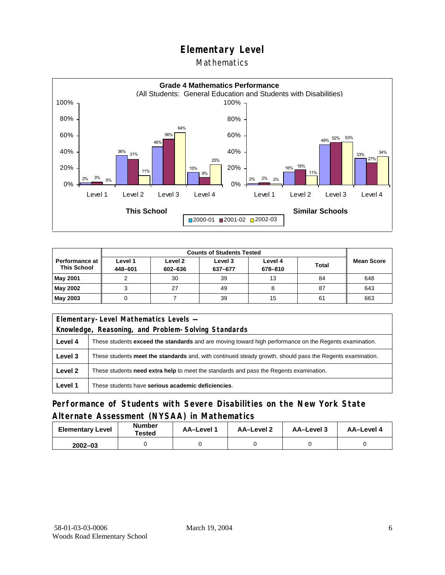#### Mathematics



|                                        | <b>Counts of Students Tested</b> |                    |                    |                    |              |                   |
|----------------------------------------|----------------------------------|--------------------|--------------------|--------------------|--------------|-------------------|
| Performance at I<br><b>This School</b> | Level 1<br>448-601               | Level 2<br>602-636 | Level 3<br>637-677 | Level 4<br>678-810 | <b>Total</b> | <b>Mean Score</b> |
| May 2001                               |                                  | 30                 | 39                 | 13                 | 84           | 648               |
| May 2002                               |                                  | 27                 | 49                 | ö                  | 87           | 643               |
| May 2003                               |                                  |                    | 39                 | 15                 | 61           | 663               |

|                                                                                                   | Elementary-Level Mathematics Levels -                                                                         |  |  |  |  |
|---------------------------------------------------------------------------------------------------|---------------------------------------------------------------------------------------------------------------|--|--|--|--|
|                                                                                                   | Knowledge, Reasoning, and Problem-Solving Standards                                                           |  |  |  |  |
| Level 4                                                                                           | These students <b>exceed the standards</b> and are moving toward high performance on the Regents examination. |  |  |  |  |
| Level 3                                                                                           | These students meet the standards and, with continued steady growth, should pass the Regents examination.     |  |  |  |  |
| Level 2<br>These students need extra help to meet the standards and pass the Regents examination. |                                                                                                               |  |  |  |  |
| Level 1                                                                                           | These students have serious academic deficiencies.                                                            |  |  |  |  |

### **Performance of Students with Severe Disabilities on the New York State Alternate Assessment (NYSAA) in Mathematics**

| <b>Elementary Level</b> | <b>Number</b><br>Tested | AA-Level 1 | AA-Level 2 | AA-Level 3 | AA-Level 4 |  |
|-------------------------|-------------------------|------------|------------|------------|------------|--|
| $2002 - 03$             |                         |            |            |            |            |  |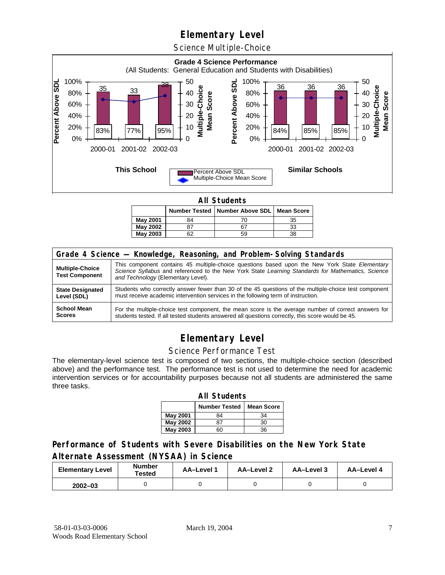Science Multiple-Choice



**All Students** 

|          |    | Number Tested   Number Above SDL   Mean Score |    |
|----------|----|-----------------------------------------------|----|
| May 2001 | 84 |                                               | 35 |
| May 2002 |    | 67                                            | 33 |
| May 2003 | ົິ | 59                                            | 38 |

| Grade 4 Science - Knowledge, Reasoning, and Problem-Solving Standards |                                                                                                                                                                                                                                          |  |  |  |  |  |
|-----------------------------------------------------------------------|------------------------------------------------------------------------------------------------------------------------------------------------------------------------------------------------------------------------------------------|--|--|--|--|--|
| <b>Multiple-Choice</b><br><b>Test Component</b>                       | This component contains 45 multiple-choice questions based upon the New York State Elementary<br>Science Syllabus and referenced to the New York State Learning Standards for Mathematics, Science<br>and Technology (Elementary Level). |  |  |  |  |  |
| <b>State Designated</b>                                               | Students who correctly answer fewer than 30 of the 45 questions of the multiple-choice test component                                                                                                                                    |  |  |  |  |  |
| Level (SDL)                                                           | must receive academic intervention services in the following term of instruction.                                                                                                                                                        |  |  |  |  |  |
| <b>School Mean</b>                                                    | For the multiple-choice test component, the mean score is the average number of correct answers for                                                                                                                                      |  |  |  |  |  |
| <b>Scores</b>                                                         | students tested. If all tested students answered all questions correctly, this score would be 45.                                                                                                                                        |  |  |  |  |  |

## **Elementary Level**

#### Science Performance Test

The elementary-level science test is composed of two sections, the multiple-choice section (described above) and the performance test. The performance test is not used to determine the need for academic intervention services or for accountability purposes because not all students are administered the same three tasks.

| <b>All Students</b>                       |    |    |  |  |  |  |  |  |
|-------------------------------------------|----|----|--|--|--|--|--|--|
| <b>Number Tested</b><br><b>Mean Score</b> |    |    |  |  |  |  |  |  |
| May 2001                                  | 84 | 34 |  |  |  |  |  |  |
| <b>May 2002</b>                           | 87 | 30 |  |  |  |  |  |  |
| <b>May 2003</b>                           |    | 36 |  |  |  |  |  |  |

### **Performance of Students with Severe Disabilities on the New York State Alternate Assessment (NYSAA) in Science**

| <b>Elementary Level</b> | <b>Number</b><br>Tested | AA-Level | AA-Level 2 | <b>AA-Level 3</b> | AA-Level 4 |  |
|-------------------------|-------------------------|----------|------------|-------------------|------------|--|
| $2002 - 03$             |                         |          |            |                   |            |  |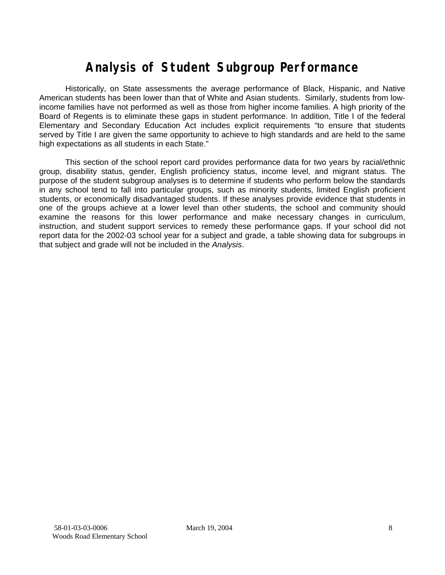# **Analysis of Student Subgroup Performance**

Historically, on State assessments the average performance of Black, Hispanic, and Native American students has been lower than that of White and Asian students. Similarly, students from lowincome families have not performed as well as those from higher income families. A high priority of the Board of Regents is to eliminate these gaps in student performance. In addition, Title I of the federal Elementary and Secondary Education Act includes explicit requirements "to ensure that students served by Title I are given the same opportunity to achieve to high standards and are held to the same high expectations as all students in each State."

This section of the school report card provides performance data for two years by racial/ethnic group, disability status, gender, English proficiency status, income level, and migrant status. The purpose of the student subgroup analyses is to determine if students who perform below the standards in any school tend to fall into particular groups, such as minority students, limited English proficient students, or economically disadvantaged students. If these analyses provide evidence that students in one of the groups achieve at a lower level than other students, the school and community should examine the reasons for this lower performance and make necessary changes in curriculum, instruction, and student support services to remedy these performance gaps. If your school did not report data for the 2002-03 school year for a subject and grade, a table showing data for subgroups in that subject and grade will not be included in the *Analysis*.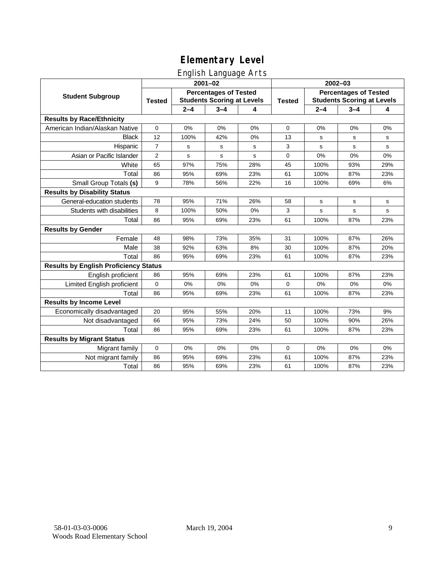### English Language Arts

|                                              | ັ<br>$2001 - 02$                                                                   |         |             |               | 2002-03                                                           |         |         |             |
|----------------------------------------------|------------------------------------------------------------------------------------|---------|-------------|---------------|-------------------------------------------------------------------|---------|---------|-------------|
| <b>Student Subgroup</b>                      | <b>Percentages of Tested</b><br><b>Students Scoring at Levels</b><br><b>Tested</b> |         |             | <b>Tested</b> | <b>Percentages of Tested</b><br><b>Students Scoring at Levels</b> |         |         |             |
|                                              |                                                                                    | $2 - 4$ | $3 - 4$     | 4             |                                                                   | $2 - 4$ | $3 - 4$ | 4           |
| <b>Results by Race/Ethnicity</b>             |                                                                                    |         |             |               |                                                                   |         |         |             |
| American Indian/Alaskan Native               | $\mathbf 0$                                                                        | 0%      | 0%          | 0%            | $\mathbf 0$                                                       | 0%      | 0%      | 0%          |
| <b>Black</b>                                 | 12                                                                                 | 100%    | 42%         | 0%            | 13                                                                | s       | s       | s           |
| Hispanic                                     | $\overline{7}$                                                                     | s       | s           | s             | 3                                                                 | s       | s       | s           |
| Asian or Pacific Islander                    | $\overline{2}$                                                                     | s       | $\mathbf s$ | s             | $\mathbf 0$                                                       | 0%      | 0%      | 0%          |
| White                                        | 65                                                                                 | 97%     | 75%         | 28%           | 45                                                                | 100%    | 93%     | 29%         |
| Total                                        | 86                                                                                 | 95%     | 69%         | 23%           | 61                                                                | 100%    | 87%     | 23%         |
| Small Group Totals (s)                       | 9                                                                                  | 78%     | 56%         | 22%           | 16                                                                | 100%    | 69%     | 6%          |
| <b>Results by Disability Status</b>          |                                                                                    |         |             |               |                                                                   |         |         |             |
| General-education students                   | 78                                                                                 | 95%     | 71%         | 26%           | 58                                                                | s       | s       | s           |
| Students with disabilities                   | 8                                                                                  | 100%    | 50%         | 0%            | 3                                                                 | s       | s       | $\mathbf s$ |
| Total                                        | 86                                                                                 | 95%     | 69%         | 23%           | 61                                                                | 100%    | 87%     | 23%         |
| <b>Results by Gender</b>                     |                                                                                    |         |             |               |                                                                   |         |         |             |
| Female                                       | 48                                                                                 | 98%     | 73%         | 35%           | 31                                                                | 100%    | 87%     | 26%         |
| Male                                         | 38                                                                                 | 92%     | 63%         | 8%            | 30                                                                | 100%    | 87%     | 20%         |
| Total                                        | 86                                                                                 | 95%     | 69%         | 23%           | 61                                                                | 100%    | 87%     | 23%         |
| <b>Results by English Proficiency Status</b> |                                                                                    |         |             |               |                                                                   |         |         |             |
| English proficient                           | 86                                                                                 | 95%     | 69%         | 23%           | 61                                                                | 100%    | 87%     | 23%         |
| Limited English proficient                   | 0                                                                                  | 0%      | 0%          | 0%            | 0                                                                 | 0%      | 0%      | 0%          |
| Total                                        | 86                                                                                 | 95%     | 69%         | 23%           | 61                                                                | 100%    | 87%     | 23%         |
| <b>Results by Income Level</b>               |                                                                                    |         |             |               |                                                                   |         |         |             |
| Economically disadvantaged                   | 20                                                                                 | 95%     | 55%         | 20%           | 11                                                                | 100%    | 73%     | 9%          |
| Not disadvantaged                            | 66                                                                                 | 95%     | 73%         | 24%           | 50                                                                | 100%    | 90%     | 26%         |
| Total                                        | 86                                                                                 | 95%     | 69%         | 23%           | 61                                                                | 100%    | 87%     | 23%         |
| <b>Results by Migrant Status</b>             |                                                                                    |         |             |               |                                                                   |         |         |             |
| Migrant family                               | $\mathbf 0$                                                                        | 0%      | 0%          | 0%            | 0                                                                 | 0%      | 0%      | 0%          |
| Not migrant family                           | 86                                                                                 | 95%     | 69%         | 23%           | 61                                                                | 100%    | 87%     | 23%         |
| Total                                        | 86                                                                                 | 95%     | 69%         | 23%           | 61                                                                | 100%    | 87%     | 23%         |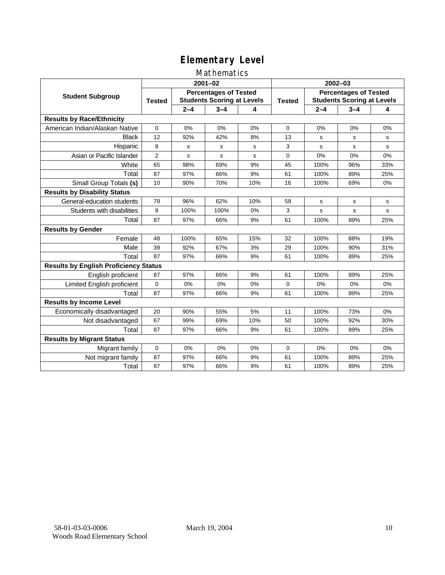### Mathematics

|                                              | $2001 - 02$                                                                        |         |              |               | $2002 - 03$                                                       |         |         |             |
|----------------------------------------------|------------------------------------------------------------------------------------|---------|--------------|---------------|-------------------------------------------------------------------|---------|---------|-------------|
| <b>Student Subgroup</b>                      | <b>Percentages of Tested</b><br><b>Students Scoring at Levels</b><br><b>Tested</b> |         |              | <b>Tested</b> | <b>Percentages of Tested</b><br><b>Students Scoring at Levels</b> |         |         |             |
|                                              |                                                                                    | $2 - 4$ | $3 - 4$      | 4             |                                                                   | $2 - 4$ | $3 - 4$ | 4           |
| <b>Results by Race/Ethnicity</b>             |                                                                                    |         |              |               |                                                                   |         |         |             |
| American Indian/Alaskan Native               | $\Omega$                                                                           | 0%      | 0%           | 0%            | $\Omega$                                                          | 0%      | 0%      | 0%          |
| <b>Black</b>                                 | 12                                                                                 | 92%     | 42%          | 8%            | 13                                                                | s       | s       | s           |
| Hispanic                                     | 8                                                                                  | s       | s            | s             | 3                                                                 | s       | s       | s           |
| Asian or Pacific Islander                    | $\overline{2}$                                                                     | s       | $\mathsf{s}$ | s             | 0                                                                 | 0%      | 0%      | 0%          |
| White                                        | 65                                                                                 | 98%     | 69%          | 9%            | 45                                                                | 100%    | 96%     | 33%         |
| Total                                        | 87                                                                                 | 97%     | 66%          | 9%            | 61                                                                | 100%    | 89%     | 25%         |
| Small Group Totals (s)                       | 10                                                                                 | 90%     | 70%          | 10%           | 16                                                                | 100%    | 69%     | 0%          |
| <b>Results by Disability Status</b>          |                                                                                    |         |              |               |                                                                   |         |         |             |
| General-education students                   | 79                                                                                 | 96%     | 62%          | 10%           | 58                                                                | s       | s       | s           |
| Students with disabilities                   | 8                                                                                  | 100%    | 100%         | 0%            | 3                                                                 | s       | s       | $\mathbf s$ |
| Total                                        | 87                                                                                 | 97%     | 66%          | 9%            | 61                                                                | 100%    | 89%     | 25%         |
| <b>Results by Gender</b>                     |                                                                                    |         |              |               |                                                                   |         |         |             |
| Female                                       | 48                                                                                 | 100%    | 65%          | 15%           | 32                                                                | 100%    | 88%     | 19%         |
| Male                                         | 39                                                                                 | 92%     | 67%          | 3%            | 29                                                                | 100%    | 90%     | 31%         |
| Total                                        | 87                                                                                 | 97%     | 66%          | 9%            | 61                                                                | 100%    | 89%     | 25%         |
| <b>Results by English Proficiency Status</b> |                                                                                    |         |              |               |                                                                   |         |         |             |
| English proficient                           | 87                                                                                 | 97%     | 66%          | 9%            | 61                                                                | 100%    | 89%     | 25%         |
| Limited English proficient                   | 0                                                                                  | 0%      | 0%           | 0%            | $\Omega$                                                          | 0%      | 0%      | 0%          |
| Total                                        | 87                                                                                 | 97%     | 66%          | 9%            | 61                                                                | 100%    | 89%     | 25%         |
| <b>Results by Income Level</b>               |                                                                                    |         |              |               |                                                                   |         |         |             |
| Economically disadvantaged                   | 20                                                                                 | 90%     | 55%          | 5%            | 11                                                                | 100%    | 73%     | 0%          |
| Not disadvantaged                            | 67                                                                                 | 99%     | 69%          | 10%           | 50                                                                | 100%    | 92%     | 30%         |
| Total                                        | 87                                                                                 | 97%     | 66%          | 9%            | 61                                                                | 100%    | 89%     | 25%         |
| <b>Results by Migrant Status</b>             |                                                                                    |         |              |               |                                                                   |         |         |             |
| Migrant family                               | 0                                                                                  | 0%      | 0%           | 0%            | $\Omega$                                                          | 0%      | 0%      | 0%          |
| Not migrant family                           | 87                                                                                 | 97%     | 66%          | 9%            | 61                                                                | 100%    | 89%     | 25%         |
| Total                                        | 87                                                                                 | 97%     | 66%          | 9%            | 61                                                                | 100%    | 89%     | 25%         |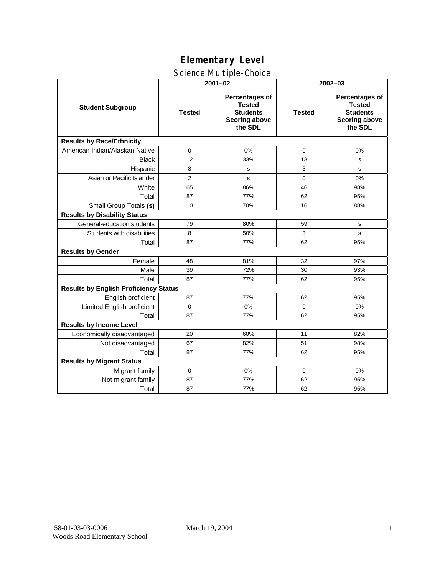### Science Multiple-Choice

|                                              | $2001 - 02$    |                                                                                              | 2002-03       |                                                                                              |  |  |  |
|----------------------------------------------|----------------|----------------------------------------------------------------------------------------------|---------------|----------------------------------------------------------------------------------------------|--|--|--|
| <b>Student Subgroup</b>                      | <b>Tested</b>  | <b>Percentages of</b><br><b>Tested</b><br><b>Students</b><br><b>Scoring above</b><br>the SDL | <b>Tested</b> | <b>Percentages of</b><br><b>Tested</b><br><b>Students</b><br><b>Scoring above</b><br>the SDL |  |  |  |
| <b>Results by Race/Ethnicity</b>             |                |                                                                                              |               |                                                                                              |  |  |  |
| American Indian/Alaskan Native               | 0              | 0%                                                                                           | 0             | 0%                                                                                           |  |  |  |
| <b>Black</b>                                 | 12             | 33%                                                                                          | 13            | $\mathbf s$                                                                                  |  |  |  |
| Hispanic                                     | 8              | s                                                                                            | 3             | s                                                                                            |  |  |  |
| Asian or Pacific Islander                    | $\overline{2}$ | s                                                                                            | 0             | 0%                                                                                           |  |  |  |
| White                                        | 65             | 86%                                                                                          | 46            | 98%                                                                                          |  |  |  |
| Total                                        | 87             | 77%                                                                                          | 62            | 95%                                                                                          |  |  |  |
| Small Group Totals (s)                       | 10             | 70%                                                                                          | 16            | 88%                                                                                          |  |  |  |
| <b>Results by Disability Status</b>          |                |                                                                                              |               |                                                                                              |  |  |  |
| General-education students                   | 79             | 80%                                                                                          | 59            | s                                                                                            |  |  |  |
| Students with disabilities                   | 8              | 50%                                                                                          | 3             | s                                                                                            |  |  |  |
| Total                                        | 87             | 77%                                                                                          | 62            | 95%                                                                                          |  |  |  |
| <b>Results by Gender</b>                     |                |                                                                                              |               |                                                                                              |  |  |  |
| Female                                       | 48             | 81%                                                                                          | 32            | 97%                                                                                          |  |  |  |
| Male                                         | 39             | 72%                                                                                          | 30            | 93%                                                                                          |  |  |  |
| Total                                        | 87             | 77%                                                                                          | 62            | 95%                                                                                          |  |  |  |
| <b>Results by English Proficiency Status</b> |                |                                                                                              |               |                                                                                              |  |  |  |
| English proficient                           | 87             | 77%                                                                                          | 62            | 95%                                                                                          |  |  |  |
| Limited English proficient                   | $\Omega$       | 0%                                                                                           | $\Omega$      | 0%                                                                                           |  |  |  |
| Total                                        | 87             | 77%                                                                                          | 62            | 95%                                                                                          |  |  |  |
| <b>Results by Income Level</b>               |                |                                                                                              |               |                                                                                              |  |  |  |
| Economically disadvantaged                   | 20             | 60%                                                                                          | 11            | 82%                                                                                          |  |  |  |
| Not disadvantaged                            | 67             | 82%                                                                                          | 51            | 98%                                                                                          |  |  |  |
| Total                                        | 87             | 77%                                                                                          | 62            | 95%                                                                                          |  |  |  |
| <b>Results by Migrant Status</b>             |                |                                                                                              |               |                                                                                              |  |  |  |
| Migrant family                               | $\mathbf 0$    | 0%                                                                                           | 0             | 0%                                                                                           |  |  |  |
| Not migrant family                           | 87             | 77%                                                                                          | 62            | 95%                                                                                          |  |  |  |
| Total                                        | 87             | 77%                                                                                          | 62            | 95%                                                                                          |  |  |  |